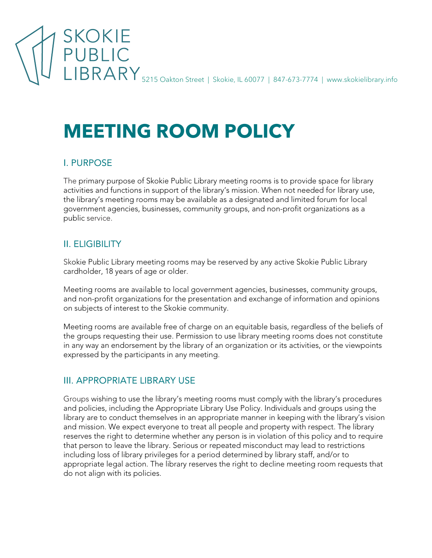

# **MEETING ROOM POLICY**

#### I. PURPOSE

The primary purpose of Skokie Public Library meeting rooms is to provide space for library activities and functions in support of the library's mission. When not needed for library use, the library's meeting rooms may be available as a designated and limited forum for local government agencies, businesses, community groups, and non-profit organizations as a public service.

# II. ELIGIBILITY

Skokie Public Library meeting rooms may be reserved by any active Skokie Public Library cardholder, 18 years of age or older.

Meeting rooms are available to local government agencies, businesses, community groups, and non-profit organizations for the presentation and exchange of information and opinions on subjects of interest to the Skokie community.

Meeting rooms are available free of charge on an equitable basis, regardless of the beliefs of the groups requesting their use. Permission to use library meeting rooms does not constitute in any way an endorsement by the library of an organization or its activities, or the viewpoints expressed by the participants in any meeting.

## III. APPROPRIATE LIBRARY USE

Groups wishing to use the library's meeting rooms must comply with the library's procedures and policies, including the Appropriate Library Use Policy. Individuals and groups using the library are to conduct themselves in an appropriate manner in keeping with the library's vision and mission. We expect everyone to treat all people and property with respect. The library reserves the right to determine whether any person is in violation of this policy and to require that person to leave the library. Serious or repeated misconduct may lead to restrictions including loss of library privileges for a period determined by library staff, and/or to appropriate legal action. The library reserves the right to decline meeting room requests that do not align with its policies.